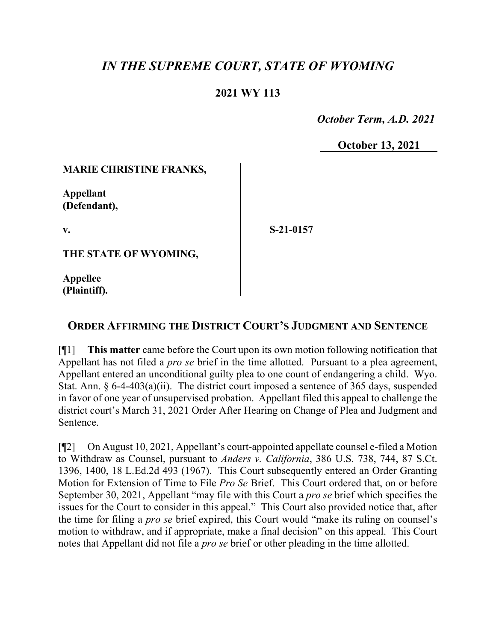# *IN THE SUPREME COURT, STATE OF WYOMING*

## **2021 WY 113**

 *October Term, A.D. 2021*

**October 13, 2021**

#### **MARIE CHRISTINE FRANKS,**

**Appellant (Defendant),**

**v.**

**S-21-0157**

**THE STATE OF WYOMING,**

**Appellee (Plaintiff).**

## **ORDER AFFIRMING THE DISTRICT COURT'S JUDGMENT AND SENTENCE**

[¶1] **This matter** came before the Court upon its own motion following notification that Appellant has not filed a *pro se* brief in the time allotted. Pursuant to a plea agreement, Appellant entered an unconditional guilty plea to one count of endangering a child. Wyo. Stat. Ann. § 6-4-403(a)(ii). The district court imposed a sentence of 365 days, suspended in favor of one year of unsupervised probation. Appellant filed this appeal to challenge the district court's March 31, 2021 Order After Hearing on Change of Plea and Judgment and Sentence.

[¶2] On August 10, 2021, Appellant's court-appointed appellate counsel e-filed a Motion to Withdraw as Counsel, pursuant to *Anders v. California*, 386 U.S. 738, 744, 87 S.Ct. 1396, 1400, 18 L.Ed.2d 493 (1967). This Court subsequently entered an Order Granting Motion for Extension of Time to File *Pro Se* Brief. This Court ordered that, on or before September 30, 2021, Appellant "may file with this Court a *pro se* brief which specifies the issues for the Court to consider in this appeal." This Court also provided notice that, after the time for filing a *pro se* brief expired, this Court would "make its ruling on counsel's motion to withdraw, and if appropriate, make a final decision" on this appeal. This Court notes that Appellant did not file a *pro se* brief or other pleading in the time allotted.